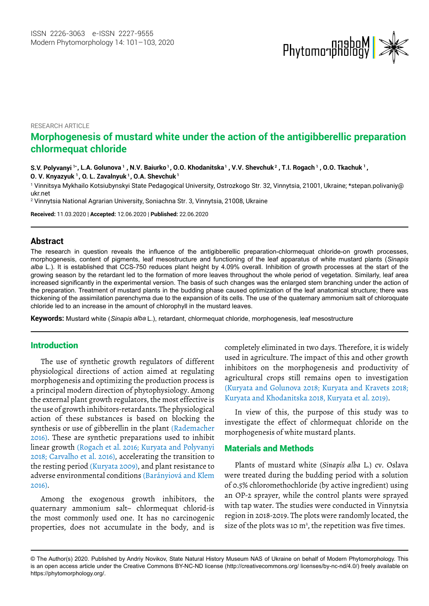

RESEARCH ARTICLE

# **Morphogenesis of mustard white under the action of the antigibberellic preparation chlormequat chloride**

 $\bf S.\bf V.$  Polyvanyi <sup>1</sup>\*, L.A. Golunova <sup>1</sup> , N.V. Baiurko <sup>1</sup>, O.O. Khodanitska <sup>1</sup> , V.V. Shevchuk <sup>2</sup> , T.I. Rogach <sup>1</sup> , O.O. Tkachuk <sup>1</sup> , **<sup>1</sup> , O. L. Zavalnyuk 1 , O.A. Shevchuk <sup>1</sup> O. V. Knyazyuk**

1 Vinnitsya Mykhailo Kotsiubynskyi State Pedagogical University, Ostrozkogo Str. 32, Vinnytsia, 21001, Ukraine; [\\*stepan.polivaniy@](mailto:stepan.polivaniy@ukr.net) [ukr.net](mailto:stepan.polivaniy@ukr.net)

2 Vinnytsia National Agrarian University, Soniachna Str. 3, Vinnytsia, 21008, Ukraine

**Received:** 11.03.2020 | **Accepted:** 12.06.2020 | **Published:** 22.06.2020

#### **Abstract**

The research in question reveals the influence of the antigibberellic preparation-chlormequat chloride-on growth processes, morphogenesis, content of pigments, leaf mesostructure and functioning of the leaf apparatus of white mustard plants (*Sinapis alba* L.). It is established that CCS-750 reduces plant height by 4.09% overall. Inhibition of growth processes at the start of the growing season by the retardant led to the formation of more leaves throughout the whole period of vegetation. Similarly, leaf area increased significantly in the experimental version. The basis of such changes was the enlarged stem branching under the action of the preparation. Treatment of mustard plants in the budding phase caused optimization of the leaf anatomical structure; there was thickening of the assimilation parenchyma due to the expansion of its cells. The use of the quaternary ammonium salt of chloroquate chloride led to an increase in the amount of chlorophyll in the mustard leaves.

**Keywords:** Mustard white (*Sinapis alba* L.), retardant, chlormequat chloride, morphogenesis, leaf mesostructure

#### Introduction

The use of synthetic growth regulators of different physiological directions of action aimed at regulating morphogenesis and optimizing the production process is a principal modern direction of phytophysiology. Among the external plant growth regulators, the most effective is the use of growth inhibitors-retardants. The physiological action of these substances is based on blocking the synthesis or use of gibberellin in the plant (Rademacher 2016). These are synthetic preparations used to inhibit linear growth (Rogach et al. 2016; Kuryata and Polyvanyi 2018; Carvalho et al. 2016), accelerating the transition to the resting period (Kuryata 2009), and plant resistance to adverse environmental conditions (Barányiová and Klem 2016).

Among the exogenous growth inhibitors, the quaternary ammonium salt– chlormequat chlorid-is the most commonly used one. It has no carcinogenic properties, does not accumulate in the body, and is completely eliminated in two days. Therefore, it is widely used in agriculture. The impact of this and other growth inhibitors on the morphogenesis and productivity of agricultural crops still remains open to investigation (Kuryata and Golunova 2018; Kuryata and Kravets 2018; Kuryata and Khodanitska 2018, Kuryata et al. 2019).

In view of this, the purpose of this study was to investigate the effect of chlormequat chloride on the morphogenesis of white mustard plants.

## Materials and Methods

Plants of mustard white (*Sinapis alba* L.) cv. Oslava were treated during the budding period with a solution of 0.5% chloromethochloride (by active ingredient) using an OP-2 sprayer, while the control plants were sprayed with tap water. The studies were conducted in Vinnytsia region in 2018-2019. The plots were randomly located, the size of the plots was 10  $m^2$ , the repetition was five times.

<sup>©</sup> The Author(s) 2020. Published by Andriy Novikov, State Natural History Museum NAS of Ukraine on behalf of Modern Phytomorphology. This is an open access article under the Creative Commons BY-NC-ND license (http://creativecommons.org/ licenses/by-nc-nd/4.0/) freely available on https://phytomorphology.org/.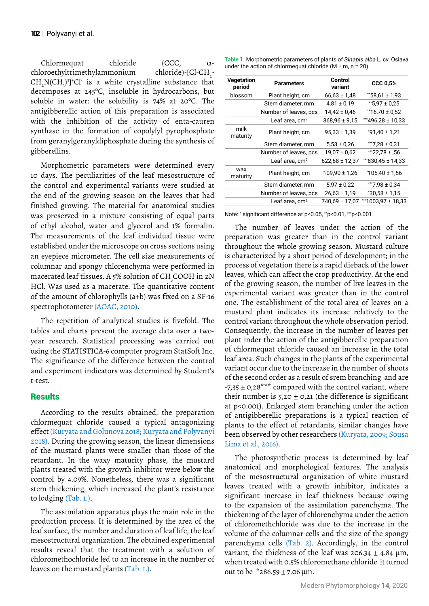Chlormequat chloride (CCC, αchloroethyltrimethylammonium chloride)-[Cl-CH\_- $CH_2N(CH_3)^3$  Cl is a white crystalline substance that decomposes at 245ºC, insoluble in hydrocarbons, but soluble in water: the solubility is 74% at 20ºC. The antigibberellic action of this preparation is associated with the inhibition of the activity of enta-cauren synthase in the formation of copolylyl pyrophosphate from geranylgeranyldiphosphate during the synthesis of gibberellins.

Morphometric parameters were determined every 10 days. The peculiarities of the leaf mesostructure of the control and experimental variants were studied at the end of the growing season on the leaves that had finished growing. The material for anatomical studies was preserved in a mixture consisting of equal parts of ethyl alcohol, water and glycerol and 1% formalin. The measurements of the leaf individual tissue were established under the microscope on cross sections using an eyepiece micrometer. The cell size measurements of columnar and spongy chlorenchyma were performed in macerated leaf tissues. A 5% solution of CH<sub>3</sub>COOH in 2N HCl. Was used as a macerate. The quantitative content of the amount of chlorophylls (a+b) was fixed on a SF-16 spectrophotometer (AOAC, 2010).

The repetition of analytical studies is fivefold. The tables and charts present the average data over a twoyear research. Statistical processing was carried out using the STATISTICA-6 computer program StatSoft Inc. The significance of the difference between the control and experiment indicators was determined by Student's t-test.

## **Results**

According to the results obtained, the preparation chlormequat chloride caused a typical antagonizing effect (Kuryata and Golunova 2018; Kuryata and Polyvanyi 2018). During the growing season, the linear dimensions of the mustard plants were smaller than those of the retardant. In the waxy maturity phase, the mustard plants treated with the growth inhibitor were below the control by 4.09%. Nonetheless, there was a significant stem thickening, which increased the plant's resistance to lodging (Tab. 1.).

The assimilation apparatus plays the main role in the production process. It is determined by the area of the leaf surface, the number and duration of leaf life, the leaf mesostructural organization. The obtained experimental results reveal that the treatment with a solution of chloromethochloride led to an increase in the number of leaves on the mustard plants (Tab. 1.).

**Table 1.** Morphometric parameters of plants of *Sinapis alba* L. cv. Oslava under the action of chlormequat chloride (M  $\pm$  m, n = 20).

| Vegetation<br>period | <b>Parameters</b>          | Control<br>variant | <b>CCC 0.5%</b>      |
|----------------------|----------------------------|--------------------|----------------------|
| blossom              | Plant height, cm           | $66,63 \pm 1,48$   | $*58,61 \pm 1,93$    |
|                      | Stem diameter, mm          | $4,81 \pm 0,19$    | $*5.97 \pm 0.25$     |
|                      | Number of leaves, pcs      | $14,42 \pm 0,46$   | $*16,70 \pm 0.52$    |
|                      | Leaf area, cm <sup>2</sup> | $368,96 \pm 9,15$  | ***496,28 ± 10,33    |
| milk<br>maturity     | Plant height, cm           | $95.33 \pm 1.39$   | $*91.40 \pm 1.21$    |
|                      | Stem diameter, mm          | $5,53 \pm 0.26$    | $**7,28 \pm 0,31$    |
|                      | Number of leaves, pcs      | $19,07 \pm 0.62$   | $*$ $22,78 \pm 0.56$ |
|                      | Leaf area, $cm2$           | $622,68 \pm 12,37$ | ***830,45 ± 14,33    |
| wax<br>maturity      | Plant height, cm           | $109,90 \pm 1,26$  | $*105,40 \pm 1,56$   |
|                      | Stem diameter, mm          | $5.97 \pm 0.22$    | **7,98 ± 0,34        |
|                      | Number of leaves, pcs      | $26,63 \pm 1,19$   | $*30,58 \pm 1,15$    |
|                      | Leaf area, cm <sup>2</sup> | 740,69 ± 17,07     | ***1003,97 ± 18,33   |

Note: \* significant difference at p<0.05, \*\*p<0.01, \*\*\*p<0.001

The number of leaves under the action of the preparation was greater than in the control variant throughout the whole growing season. Mustard culture is characterized by a short period of development; in the process of vegetation there is a rapid dieback of the lower leaves, which can affect the crop productivity. At the end of the growing season, the number of live leaves in the experimental variant was greater than in the control one. The establishment of the total area of leaves on a mustard plant indicates its increase relatively to the control variant throughout the whole observation period. Consequently, the increase in the number of leaves per plant inder the action of the antigibberellic preparation of chlormequat chloride caused an increase in the total leaf area. Such changes in the plants of the experimental variant occur due to the increase in the number of shoots of the second order as a result of srem branching and are  $-7.35 \pm 0.28$ \*\*\* compared with the control variant, where their number is  $5,20 \pm 0,21$  (the difference is significant at p<0.001). Enlarged stem branching under the action of antigibberellic preparations is a typical reaction of plants to the effect of retardants, similar changes have been observed by other researchers (Kuryata, 2009; Sousa Lima et al., 2016).

The photosynthetic process is determined by leaf anatomical and morphological features. The analysis of the mesostructural organization of white mustard leaves treated with a growth inhibitor, indicates a significant increase in leaf thickness because owing to the expansion of the assimilation parenchyma. The thickening of the layer of chlorenchyma under the action of chloromethchloride was due to the increase in the volume of the columnar cells and the size of the spongy parenchyma cells (Tab. 2). Accordingly, in the control variant, the thickness of the leaf was  $206.34 \pm 4.84$  µm, when treated with 0.5% chloromethane chloride it turned out to be \*286.59 ± 7.06 μm.